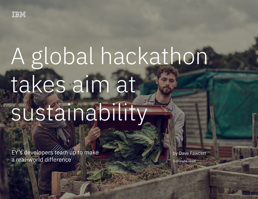

# A global hackathon takes aim at sustainability

EY's developers team up to make a real-world difference

by Dave Fawcett

5-minute read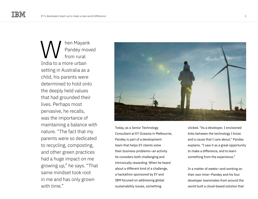hen Mayank Pandey moved from rural India to a more urban setting in Australia as a child, his parents were determined to hold onto the deeply held values that had grounded their lives. Perhaps most pervasive, he recalls, was the importance of maintaining a balance with nature. "The fact that my parents were so dedicated to recycling, composting, and other green practices had a huge impact on me growing up," he says. "That same mindset took root in me and has only grown with time" W



Today, as a Senior Technology Consultant at EY Oceania in Melbourne, Pandey is part of a development team that helps EY clients solve their business problems—an activity he considers both challenging and intrinsically rewarding. When he heard about a different kind of a challenge, a hackathon sponsored by EY and IBM focused on addressing global sustainability issues, something

clicked. "As a developer, I envisioned links between the technology I know and a cause that I care about," Pandey explains. "I saw it as a great opportunity to make a difference, and to learn something from the experience."

In a matter of weeks—and working on their own time—Pandey and his four developer teammates from around the world built a cloud-based solution that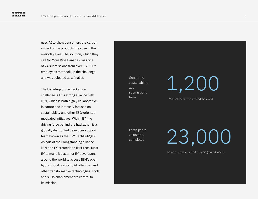uses AI to show consumers the carbon impact of the products they use in their everyday lives. The solution, which they call No More Ripe Bananas, was one of 24 submissions from over 1,200 EY employees that took up the challenge, and was selected as a finalist.

The backdrop of the hackathon challenge is EY's strong alliance with IBM, which is both highly collaborative in nature and intensely focused on sustainability and other ESG-oriented motivated initiatives. Within EY, the driving force behind the hackathon is a globally distributed developer support team known as the IBM TechHub@EY. As part of their longstanding alliance, IBM and EY created the IBM TechHub@ EY to make it easier for EY developers around the world to access IBM's open hybrid cloud platform, AI offerings, and other transformative technologies. Tools and skills enablement are central to its mission.

Generated sustainability app submissions

Participants voluntarily completed

1,200

from EY developers from around the world

23,000

hours of product-specific training over 4 weeks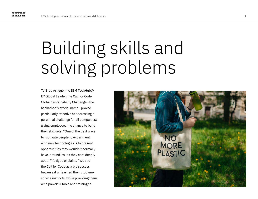## Building skills and solving problems

To Brad Artigue, the IBM TechHub@ EY Global Leader, the Call for Code Global Sustainability Challenge—the hackathon's official name—proved particularly effective at addressing a perennial challenge for all companies: giving employees the chance to build their skill sets. "One of the best ways to motivate people to experiment with new technologies is to present opportunities they wouldn't normally have, around issues they care deeply about," Artigue explains. "We see the Call for Code as a big success because it unleashed their problemsolving instincts, while providing them with powerful tools and training to

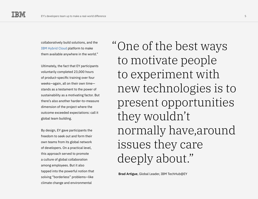collaboratively build solutions, and the [IBM Hybrid Cloud](https://www.ibm.com/cloud) platform to make them available anywhere in the world."

Ultimately, the fact that EY participants voluntarily completed 23,000 hours of product-specific training over four weeks—again, all on their own time stands as a testament to the power of sustainability as a motivating factor. But there's also another harder-to-measure dimension of the project where the outcome exceeded expectations: call it global team building.

By design, EY gave participants the freedom to seek out and form their own teams from its global network of developers. On a practical level, this approach served to promote a culture of global collaboration among employees. But it also tapped into the powerful notion that solving "borderless" problems—like climate change and environmental

"One of the best ways to motivate people to experiment with new technologies is to present opportunities they wouldn't normally have,around issues they care deeply about."

**Brad Artigue**, Global Leader, IBM TechHub@EY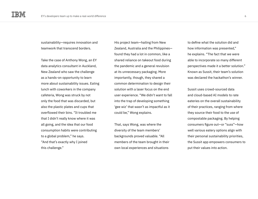sustainability—requires innovation and teamwork that transcend borders.

Take the case of Anthony Wong, an EY data analytics consultant in Auckland, New Zealand who saw the challenge as a hands-on opportunity to learn more about sustainability issues. Eating lunch with coworkers in the company cafeteria, Wong was struck by not only the food that was discarded, but also the plastic plates and cups that overflowed their bins. "It troubled me that I didn't really know where it was all going, and the idea that our food consumption habits were contributing to a global problem," he says. "And that's exactly why I joined this challenge."

His project team—hailing from New Zealand, Australia and the Philippines found they had a lot in common, like a shared reliance on takeout food during the pandemic and a general revulsion at its unnecessary packaging. More importantly, though, they shared a common determination to design their solution with a laser focus on the end user experience. "We didn't want to fall into the trap of developing something 'gee wiz' that wasn't as impactful as it could be," Wong explains.

That, says Wong, was where the diversity of the team members' backgrounds proved valuable. "All members of the team brought in their own local experiences and situations

to define what the solution did and how information was presented," he explains. "The fact that we were able to incorporate so many different perspectives made it a better solution." Known as Sussit, their team's solution was declared the hackathon's winner.

Sussit uses crowd-sourced data and cloud-based AI models to rate eateries on the overall sustainability of their practices, ranging from where they source their food to the use of compostable packaging. By helping consumers figure out—or "suss"—how well various eatery options align with their personal sustainability priorities, the Sussit app empowers consumers to put their values into action.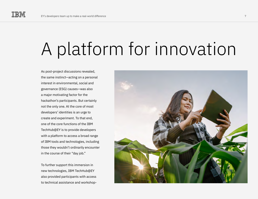### A platform for innovation

As post-project discussions revealed, the same instinct—acting on a personal interest in environmental, social and governance (ESG) causes—was also a major motivating factor for the hackathon's participants. But certainly not the only one. At the core of most developers' identities is an urge to create and experiment. To that end, one of the core functions of the IBM TechHub@EY is to provide developers with a platform to access a broad range of IBM tools and technologies, including those they wouldn't ordinarily encounter in the course of their "day job."

To further support this immersion in new technologies, IBM TechHub@EY also provided participants with access to technical assistance and workshop-

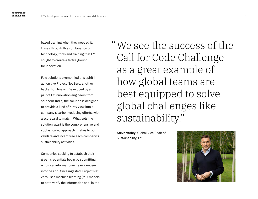based training when they needed it. It was through this combination of technology, tools and training that EY sought to create a fertile ground for innovation.

Few solutions exemplified this spirit in action like Project Net Zero, another hackathon finalist. Developed by a pair of EY innovation engineers from southern India, the solution is designed to provide a kind of X-ray view into a company's carbon-reducing efforts, with a scorecard to match. What sets the solution apart is the comprehensive and sophisticated approach it takes to both validate and incentivize each company's sustainability activities.

Companies seeking to establish their green credentials begin by submitting empirical information—the evidence into the app. Once ingested, Project Net Zero uses machine learning (ML) models to both verify the information and, in the We see the success of the "Call for Code Challenge as a great example of how global teams are best equipped to solve global challenges like sustainability."

**Steve Varley**, Global Vice Chair of Sustainability, EY

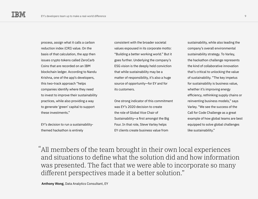process, assign what it calls a carbon reduction index (CRI) value. On the basis of that calculation, the app then issues crypto tokens called ZeroCarb Coins that are recorded on an IBM blockchain ledger. According to Nandu Krishna, one of the app's developers, this two-track approach "helps companies identify where they need to invest to improve their sustainability practices, while also providing a way to generate 'green' capital to support these investments."

EY's decision to run a sustainabilitythemed hackathon is entirely

consistent with the broader societal values espoused in its corporate motto: "Building a better working world." But it goes further. Underlying the company's ESG vision is the deeply held conviction that while sustainability may be a matter of responsibility, it's also a huge source of opportunity—for EY and for its customers.

One strong indicator of this commitment was EY's 2020 decision to create the role of Global Vice Chair of Sustainability—a first amongst the Big Four. In that role, Steve Varley helps EY clients create business value from

sustainability, while also leading the company's overall environmental sustainability strategy. To Varley, the hackathon challenge represents the kind of collaborative innovation that's critical to unlocking the value of sustainability. "The key impetus for sustainability is business value, whether it's improving energy efficiency, rethinking supply chains or reinventing business models," says Varley. "We see the success of the Call for Code Challenge as a great example of how global teams are best equipped to solve global challenges like sustainability."

All members of the team brought in their own local experiences "and situations to define what the solution did and how information was presented. The fact that we were able to incorporate so many different perspectives made it a better solution."

**Anthony Wong**, Data Analytics Consultant, EY